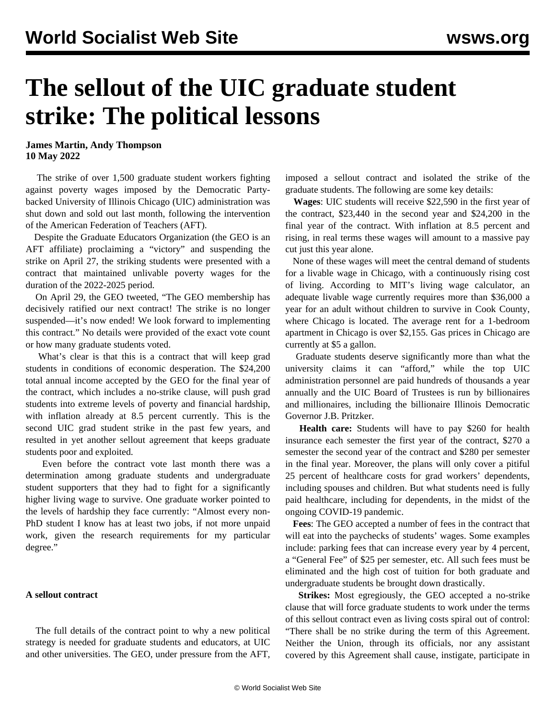## **The sellout of the UIC graduate student strike: The political lessons**

**James Martin, Andy Thompson 10 May 2022**

 The strike of over 1,500 graduate student workers fighting against poverty wages imposed by the Democratic Partybacked University of Illinois Chicago (UIC) administration was shut down and sold out last month, following the intervention of the American Federation of Teachers (AFT).

 Despite the Graduate Educators Organization (the GEO is an AFT affiliate) proclaiming a "victory" and suspending the strike on April 27, the striking students were presented with a contract that maintained unlivable poverty wages for the duration of the 2022-2025 period.

 On April 29, the GEO tweeted, "The GEO membership has decisively ratified our next contract! The strike is no longer suspended—it's now ended! We look forward to implementing this contract." No details were provided of the exact vote count or how many graduate students voted.

 What's clear is that this is a contract that will keep grad students in conditions of economic desperation. The \$24,200 total annual income accepted by the GEO for the final year of the contract, which includes a no-strike clause, will push grad students into extreme levels of poverty and financial hardship, with inflation already at 8.5 percent currently. This is the second [UIC grad student strike](/en/articles/2019/04/16/grad-a16.html) in the past few years, and resulted in yet another sellout agreement that keeps graduate students poor and exploited.

 Even before the contract vote last month there was a determination among graduate students and undergraduate student supporters that they had to fight for a significantly higher living wage to survive. One graduate worker pointed to the levels of [hardship they face](/en/articles/2022/04/26/uics-a26.html) currently: "Almost every non-PhD student I know has at least two jobs, if not more unpaid work, given the research requirements for my particular degree."

## **A sellout contract**

 The [full details](https://uic-geo.net/mainsite/wp-content/uploads/2022/04/GEO-CBA-2022-2025.pdf) of the contract point to why a new political strategy is needed for graduate students and educators, at UIC and other universities. The GEO, under pressure from the AFT, imposed a sellout contract and isolated the strike of the graduate students. The following are some key details:

 **Wages**: UIC students will receive \$22,590 in the first year of the contract, \$23,440 in the second year and \$24,200 in the final year of the contract. With inflation at 8.5 percent and rising, in real terms these wages will amount to a massive pay cut just this year alone.

 None of these wages will meet the central demand of students for a livable wage in Chicago, with a continuously rising cost of living. According to MIT's living wage calculator, an adequate livable wage currently requires more than \$36,000 a year for an adult without children to survive in Cook County, where Chicago is located. The average rent for a 1-bedroom apartment in Chicago is over \$2,155. Gas prices in Chicago are currently at \$5 a gallon.

 Graduate students deserve significantly more than what the university claims it can "afford," while the top UIC administration personnel are paid hundreds of thousands a year annually and the [UIC Board of Trustees](/en/articles/2020/09/21/uici-s21.html) is run by billionaires and millionaires, including the billionaire Illinois Democratic Governor J.B. Pritzker.

 **Health care:** Students will have to pay \$260 for health insurance each semester the first year of the contract, \$270 a semester the second year of the contract and \$280 per semester in the final year. Moreover, the plans will only cover a pitiful 25 percent of healthcare costs for grad workers' dependents, including spouses and children. But what students need is fully paid healthcare, including for dependents, in the midst of the ongoing COVID-19 pandemic.

 **Fees**: The GEO accepted a number of fees in the contract that will eat into the paychecks of students' wages. Some examples include: parking fees that can increase every year by 4 percent, a "General Fee" of \$25 per semester, etc. All such fees must be eliminated and the high cost of tuition for both graduate and undergraduate students be brought down drastically.

 **Strikes:** Most egregiously, the GEO accepted a no-strike clause that will force graduate students to work under the terms of this sellout contract even as living costs spiral out of control: "There shall be no strike during the term of this Agreement. Neither the Union, through its officials, nor any assistant covered by this Agreement shall cause, instigate, participate in